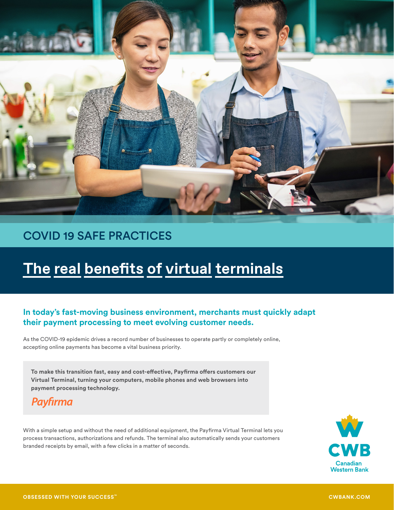

## COVID 19 SAFE PRACTICES

# **The real benefits of virtual terminals**

### **In today's fast-moving business environment, merchants must quickly adapt their payment processing to meet evolving customer needs.**

As the COVID-19 epidemic drives a record number of businesses to operate partly or completely online, accepting online payments has become a vital business priority.

**To make this transition fast, easy and cost-effective, Payfirma offers customers our Virtual Terminal, turning your computers, mobile phones and web browsers into payment processing technology.**

## **Payfirma**

With a simple setup and without the need of additional equipment, the Payfirma Virtual Terminal lets you process transactions, authorizations and refunds. The terminal also automatically sends your customers branded receipts by email, with a few clicks in a matter of seconds.